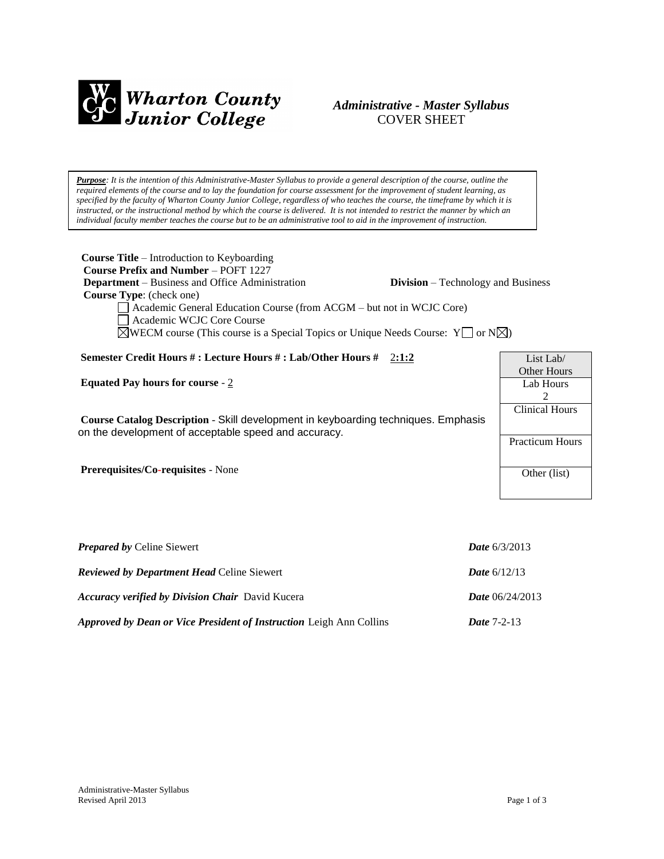

# *Administrative - Master Syllabus*  COVER SHEET

*Purpose: It is the intention of this Administrative-Master Syllabus to provide a general description of the course, outline the required elements of the course and to lay the foundation for course assessment for the improvement of student learning, as specified by the faculty of Wharton County Junior College, regardless of who teaches the course, the timeframe by which it is* instructed, or the instructional method by which the course is delivered. It is not intended to restrict the manner by which an *individual faculty member teaches the course but to be an administrative tool to aid in the improvement of instruction.*

| <b>Course Title</b> – Introduction to Keyboarding<br><b>Course Prefix and Number – POFT 1227</b><br><b>Department</b> – Business and Office Administration<br>Course Type: (check one)<br>Academic General Education Course (from ACGM – but not in WCJC Core)<br>Academic WCJC Core Course<br>$\triangle$ WECM course (This course is a Special Topics or Unique Needs Course: Y $\Box$ or N $\triangle$ ) | <b>Division</b> – Technology and Business |
|-------------------------------------------------------------------------------------------------------------------------------------------------------------------------------------------------------------------------------------------------------------------------------------------------------------------------------------------------------------------------------------------------------------|-------------------------------------------|
| Semester Credit Hours #: Lecture Hours #: Lab/Other Hours # 2:1:2                                                                                                                                                                                                                                                                                                                                           | List Lab/                                 |
|                                                                                                                                                                                                                                                                                                                                                                                                             | Other Hours                               |
| Equated Pay hours for course - $2$                                                                                                                                                                                                                                                                                                                                                                          | Lab Hours                                 |
|                                                                                                                                                                                                                                                                                                                                                                                                             | 2                                         |
| <b>Course Catalog Description - Skill development in keyboarding techniques. Emphasis</b><br>on the development of acceptable speed and accuracy.                                                                                                                                                                                                                                                           | <b>Clinical Hours</b>                     |
|                                                                                                                                                                                                                                                                                                                                                                                                             | <b>Practicum Hours</b>                    |
| <b>Prerequisites/Co-requisites - None</b>                                                                                                                                                                                                                                                                                                                                                                   | Other (list)                              |
| <b>Prepared by Celine Siewert</b>                                                                                                                                                                                                                                                                                                                                                                           | Date 6/3/2013                             |

| <b>Reviewed by Department Head Celine Siewert</b>                          | <b>Date</b> $6/12/13$    |
|----------------------------------------------------------------------------|--------------------------|
| <b>Accuracy verified by Division Chair</b> David Kucera                    | <b>Date</b> $06/24/2013$ |
| <b>Approved by Dean or Vice President of Instruction Leigh Ann Collins</b> | Date 7-2-13              |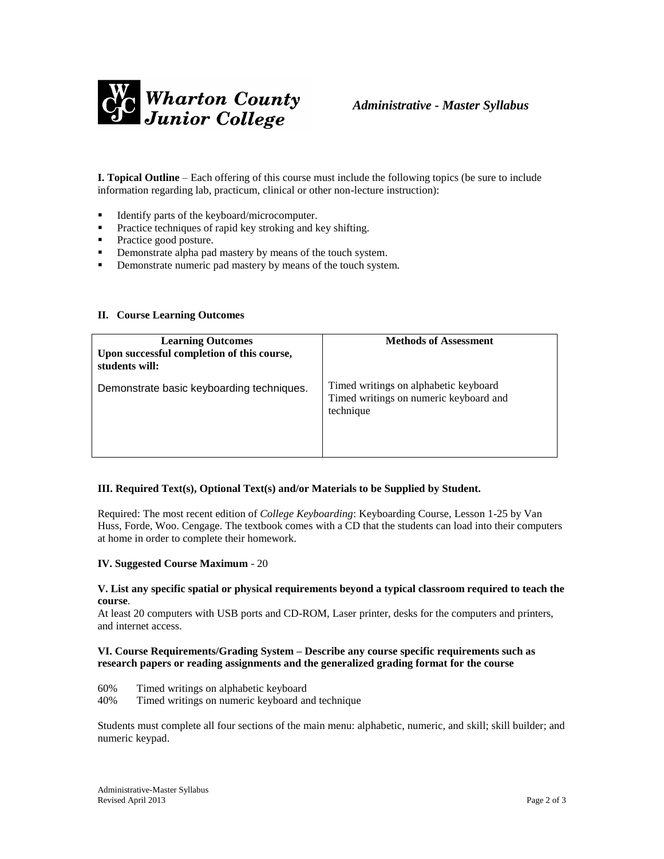

**I. Topical Outline** – Each offering of this course must include the following topics (be sure to include information regarding lab, practicum, clinical or other non-lecture instruction):

- Identify parts of the keyboard/microcomputer.
- **Practice techniques of rapid key stroking and key shifting.**
- Practice good posture.
- **•** Demonstrate alpha pad mastery by means of the touch system.
- **•** Demonstrate numeric pad mastery by means of the touch system.

## **II. Course Learning Outcomes**

| <b>Learning Outcomes</b><br>Upon successful completion of this course,<br>students will: | <b>Methods of Assessment</b>                                                                 |
|------------------------------------------------------------------------------------------|----------------------------------------------------------------------------------------------|
| Demonstrate basic keyboarding techniques.                                                | Timed writings on alphabetic keyboard<br>Timed writings on numeric keyboard and<br>technique |

## **III. Required Text(s), Optional Text(s) and/or Materials to be Supplied by Student.**

Required: The most recent edition of *College Keyboarding*: Keyboarding Course, Lesson 1-25 by Van Huss, Forde, Woo. Cengage. The textbook comes with a CD that the students can load into their computers at home in order to complete their homework.

## **IV. Suggested Course Maximum** - 20

#### **V. List any specific spatial or physical requirements beyond a typical classroom required to teach the course**.

At least 20 computers with USB ports and CD-ROM, Laser printer, desks for the computers and printers, and internet access.

# **VI. Course Requirements/Grading System – Describe any course specific requirements such as research papers or reading assignments and the generalized grading format for the course**

- 60% Timed writings on alphabetic keyboard
- 40% Timed writings on numeric keyboard and technique

Students must complete all four sections of the main menu: alphabetic, numeric, and skill; skill builder; and numeric keypad.